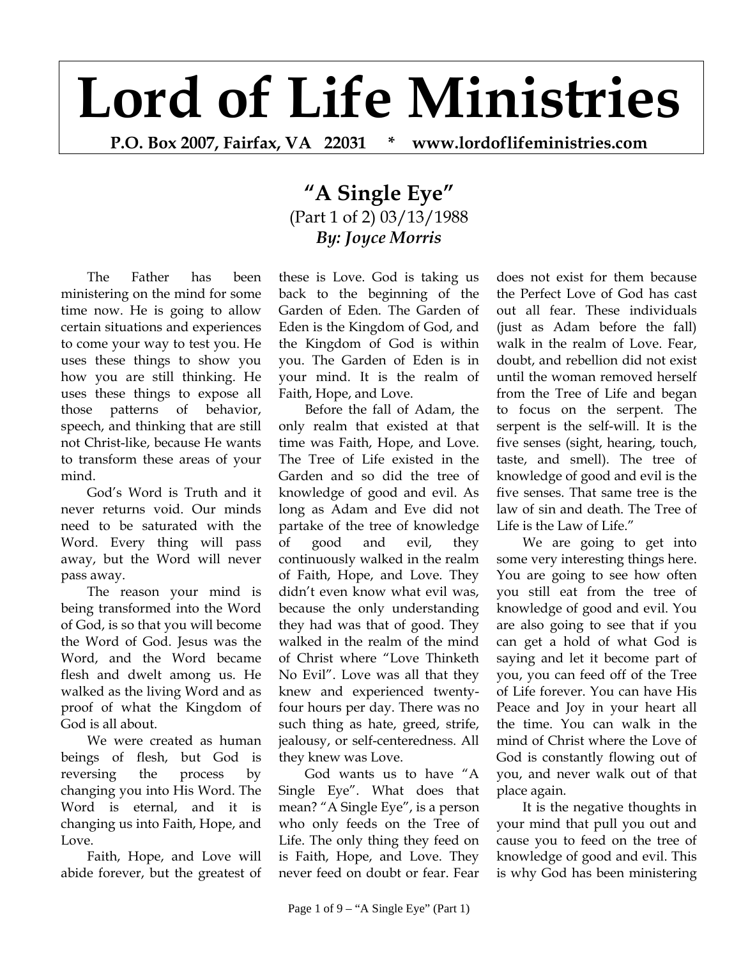## **Lord of Life Ministries**

**P.O. Box 2007, Fairfax, VA 22031 \* www.lordoflifeministries.com** 

## **"A Single Eye"** (Part 1 of 2) 03/13/1988 *By: Joyce Morris*

The Father has been ministering on the mind for some time now. He is going to allow certain situations and experiences to come your way to test you. He uses these things to show you how you are still thinking. He uses these things to expose all those patterns of behavior, speech, and thinking that are still not Christ-like, because He wants to transform these areas of your mind.

God's Word is Truth and it never returns void. Our minds need to be saturated with the Word. Every thing will pass away, but the Word will never pass away.

The reason your mind is being transformed into the Word of God, is so that you will become the Word of God. Jesus was the Word, and the Word became flesh and dwelt among us. He walked as the living Word and as proof of what the Kingdom of God is all about.

We were created as human beings of flesh, but God is reversing the process by changing you into His Word. The Word is eternal, and it is changing us into Faith, Hope, and Love.

Faith, Hope, and Love will abide forever, but the greatest of these is Love. God is taking us back to the beginning of the Garden of Eden. The Garden of Eden is the Kingdom of God, and the Kingdom of God is within you. The Garden of Eden is in your mind. It is the realm of Faith, Hope, and Love.

Before the fall of Adam, the only realm that existed at that time was Faith, Hope, and Love. The Tree of Life existed in the Garden and so did the tree of knowledge of good and evil. As long as Adam and Eve did not partake of the tree of knowledge of good and evil, they continuously walked in the realm of Faith, Hope, and Love. They didn't even know what evil was, because the only understanding they had was that of good. They walked in the realm of the mind of Christ where "Love Thinketh No Evil". Love was all that they knew and experienced twentyfour hours per day. There was no such thing as hate, greed, strife, jealousy, or self-centeredness. All they knew was Love.

God wants us to have "A Single Eye". What does that mean? "A Single Eye", is a person who only feeds on the Tree of Life. The only thing they feed on is Faith, Hope, and Love. They never feed on doubt or fear. Fear

does not exist for them because the Perfect Love of God has cast out all fear. These individuals (just as Adam before the fall) walk in the realm of Love. Fear, doubt, and rebellion did not exist until the woman removed herself from the Tree of Life and began to focus on the serpent. The serpent is the self-will. It is the five senses (sight, hearing, touch, taste, and smell). The tree of knowledge of good and evil is the five senses. That same tree is the law of sin and death. The Tree of Life is the Law of Life."

We are going to get into some very interesting things here. You are going to see how often you still eat from the tree of knowledge of good and evil. You are also going to see that if you can get a hold of what God is saying and let it become part of you, you can feed off of the Tree of Life forever. You can have His Peace and Joy in your heart all the time. You can walk in the mind of Christ where the Love of God is constantly flowing out of you, and never walk out of that place again.

It is the negative thoughts in your mind that pull you out and cause you to feed on the tree of knowledge of good and evil. This is why God has been ministering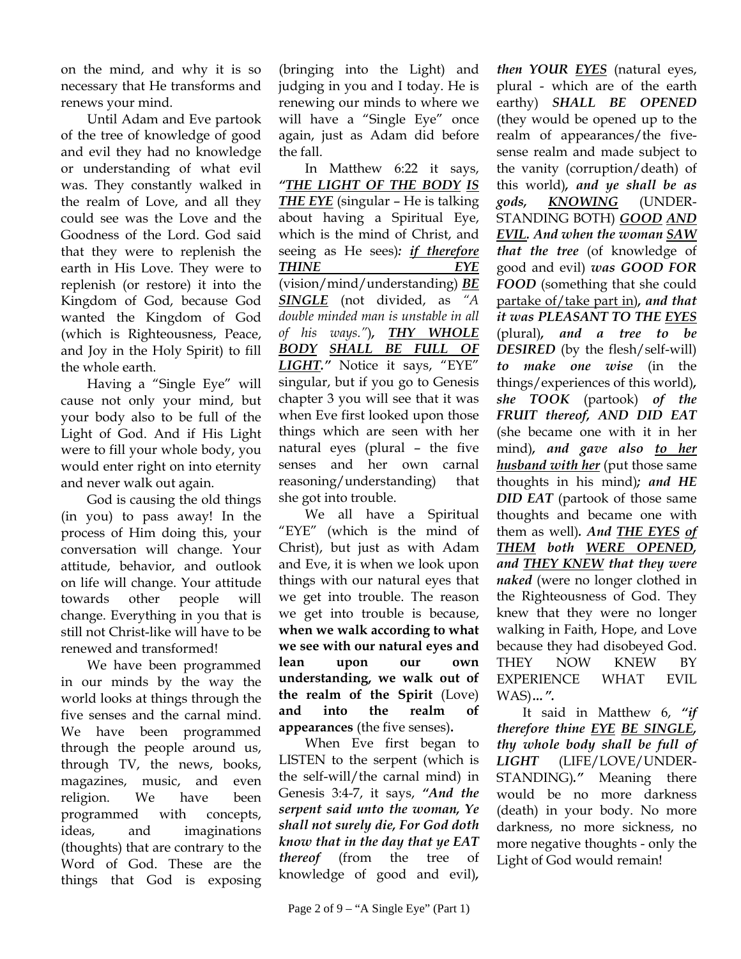on the mind, and why it is so necessary that He transforms and renews your mind.

Until Adam and Eve partook of the tree of knowledge of good and evil they had no knowledge or understanding of what evil was. They constantly walked in the realm of Love, and all they could see was the Love and the Goodness of the Lord. God said that they were to replenish the earth in His Love. They were to replenish (or restore) it into the Kingdom of God, because God wanted the Kingdom of God (which is Righteousness, Peace, and Joy in the Holy Spirit) to fill the whole earth.

Having a "Single Eye" will cause not only your mind, but your body also to be full of the Light of God. And if His Light were to fill your whole body, you would enter right on into eternity and never walk out again.

God is causing the old things (in you) to pass away! In the process of Him doing this, your conversation will change. Your attitude, behavior, and outlook on life will change. Your attitude towards other people will change. Everything in you that is still not Christ-like will have to be renewed and transformed!

We have been programmed in our minds by the way the world looks at things through the five senses and the carnal mind. We have been programmed through the people around us, through TV, the news, books, magazines, music, and even religion. We have been programmed with concepts, ideas, and imaginations (thoughts) that are contrary to the Word of God. These are the things that God is exposing (bringing into the Light) and judging in you and I today. He is renewing our minds to where we will have a "Single Eye" once again, just as Adam did before the fall.

In Matthew 6:22 it says, *"THE LIGHT OF THE BODY IS THE EYE* (singular – He is talking about having a Spiritual Eye, which is the mind of Christ, and seeing as He sees)*: if therefore THINE EYE* (vision/mind/understanding) *BE SINGLE* (not divided, as *"A double minded man is unstable in all of his ways."*)*, THY WHOLE BODY SHALL BE FULL OF LIGHT."* Notice it says, "EYE" singular, but if you go to Genesis chapter 3 you will see that it was when Eve first looked upon those things which are seen with her natural eyes (plural – the five senses and her own carnal reasoning/understanding) that she got into trouble.

We all have a Spiritual "EYE" (which is the mind of Christ), but just as with Adam and Eve, it is when we look upon things with our natural eyes that we get into trouble. The reason we get into trouble is because, **when we walk according to what we see with our natural eyes and lean upon our own understanding, we walk out of the realm of the Spirit** (Love) **and into the realm of appearances** (the five senses)**.** 

When Eve first began to LISTEN to the serpent (which is the self-will/the carnal mind) in Genesis 3:4-7, it says, *"And the serpent said unto the woman, Ye shall not surely die, For God doth know that in the day that ye EAT thereof* (from the tree of knowledge of good and evil)*,* 

Page 2 of 9 – "A Single Eye" (Part 1)

*then YOUR EYES* (natural eyes, plural - which are of the earth earthy) *SHALL BE OPENED*  (they would be opened up to the realm of appearances/the fivesense realm and made subject to the vanity (corruption/death) of this world)*, and ye shall be as gods, KNOWING* (UNDER-STANDING BOTH) *GOOD AND EVIL. And when the woman SAW that the tree* (of knowledge of good and evil) *was GOOD FOR FOOD* (something that she could partake of/take part in)*, and that it was PLEASANT TO THE EYES* (plural)*, and a tree to be DESIRED* (by the flesh/self-will) *to make one wise* (in the things/experiences of this world)*, she TOOK* (partook) *of the FRUIT thereof, AND DID EAT* (she became one with it in her mind)*, and gave also to her husband with her* (put those same thoughts in his mind)*; and HE DID EAT* (partook of those same thoughts and became one with them as well)*. And THE EYES of THEM both WERE OPENED, and THEY KNEW that they were naked* (were no longer clothed in the Righteousness of God. They knew that they were no longer walking in Faith, Hope, and Love because they had disobeyed God. THEY NOW KNEW BY EXPERIENCE WHAT EVIL WAS)*…".* 

It said in Matthew 6, *"if therefore thine EYE BE SINGLE, thy whole body shall be full of LIGHT* (LIFE/LOVE/UNDER-STANDING)*."* Meaning there would be no more darkness (death) in your body. No more darkness, no more sickness, no more negative thoughts - only the Light of God would remain!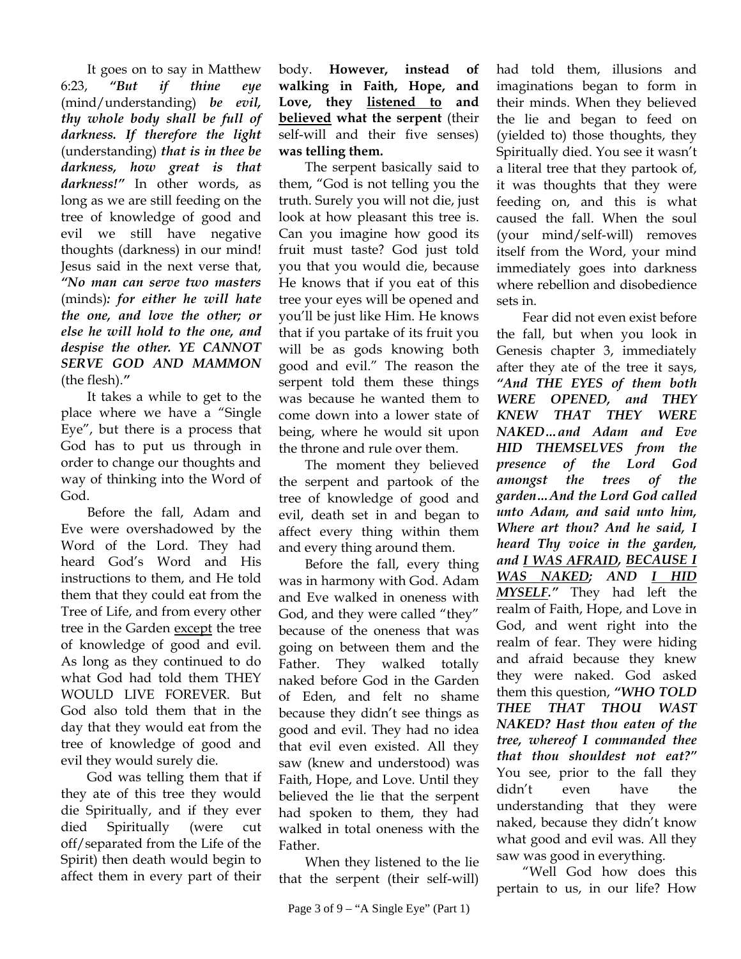It goes on to say in Matthew 6:23, *"But if thine eye*  (mind/understanding) *be evil, thy whole body shall be full of darkness. If therefore the light*  (understanding) *that is in thee be darkness, how great is that darkness!"* In other words, as long as we are still feeding on the tree of knowledge of good and evil we still have negative thoughts (darkness) in our mind! Jesus said in the next verse that, *"No man can serve two masters* (minds)*: for either he will hate the one, and love the other; or else he will hold to the one, and despise the other. YE CANNOT SERVE GOD AND MAMMON* (the flesh).*"*

It takes a while to get to the place where we have a "Single Eye", but there is a process that God has to put us through in order to change our thoughts and way of thinking into the Word of God.

Before the fall, Adam and Eve were overshadowed by the Word of the Lord. They had heard God's Word and His instructions to them, and He told them that they could eat from the Tree of Life, and from every other tree in the Garden except the tree of knowledge of good and evil. As long as they continued to do what God had told them THEY WOULD LIVE FOREVER. But God also told them that in the day that they would eat from the tree of knowledge of good and evil they would surely die.

God was telling them that if they ate of this tree they would die Spiritually, and if they ever died Spiritually (were cut off/separated from the Life of the Spirit) then death would begin to affect them in every part of their

body. **However, instead of walking in Faith, Hope, and Love, they listened to and believed what the serpent** (their self-will and their five senses) **was telling them.** 

The serpent basically said to them, "God is not telling you the truth. Surely you will not die, just look at how pleasant this tree is. Can you imagine how good its fruit must taste? God just told you that you would die, because He knows that if you eat of this tree your eyes will be opened and you'll be just like Him. He knows that if you partake of its fruit you will be as gods knowing both good and evil." The reason the serpent told them these things was because he wanted them to come down into a lower state of being, where he would sit upon the throne and rule over them.

The moment they believed the serpent and partook of the tree of knowledge of good and evil, death set in and began to affect every thing within them and every thing around them.

Before the fall, every thing was in harmony with God. Adam and Eve walked in oneness with God, and they were called "they" because of the oneness that was going on between them and the Father. They walked totally naked before God in the Garden of Eden, and felt no shame because they didn't see things as good and evil. They had no idea that evil even existed. All they saw (knew and understood) was Faith, Hope, and Love. Until they believed the lie that the serpent had spoken to them, they had walked in total oneness with the Father.

When they listened to the lie that the serpent (their self-will)

had told them, illusions and imaginations began to form in their minds. When they believed the lie and began to feed on (yielded to) those thoughts, they Spiritually died. You see it wasn't a literal tree that they partook of, it was thoughts that they were feeding on, and this is what caused the fall. When the soul (your mind/self-will) removes itself from the Word, your mind immediately goes into darkness where rebellion and disobedience sets in.

Fear did not even exist before the fall, but when you look in Genesis chapter 3, immediately after they ate of the tree it says, *"And THE EYES of them both WERE OPENED, and THEY KNEW THAT THEY WERE NAKED…and Adam and Eve HID THEMSELVES from the presence of the Lord God amongst the trees of the garden…And the Lord God called unto Adam, and said unto him, Where art thou? And he said, I heard Thy voice in the garden, and I WAS AFRAID, BECAUSE I WAS NAKED; AND I HID MYSELF."* They had left the realm of Faith, Hope, and Love in God, and went right into the realm of fear. They were hiding and afraid because they knew they were naked. God asked them this question, *"WHO TOLD THEE THAT THOU WAST NAKED? Hast thou eaten of the tree, whereof I commanded thee that thou shouldest not eat?"*  You see, prior to the fall they didn't even have the understanding that they were naked, because they didn't know what good and evil was. All they saw was good in everything.

"Well God how does this pertain to us, in our life? How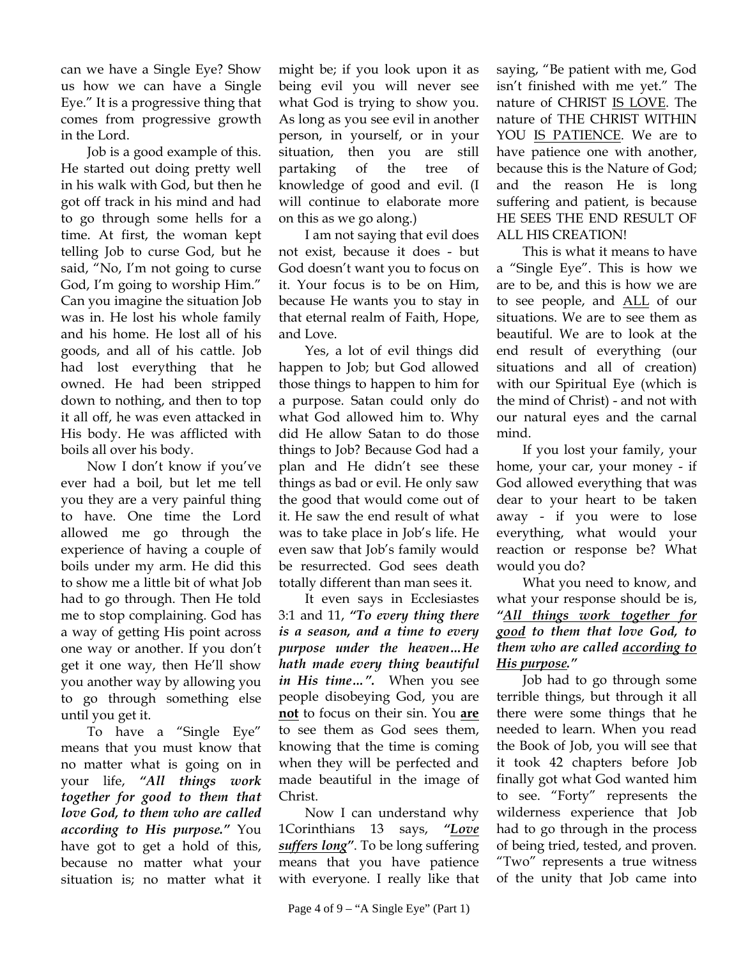can we have a Single Eye? Show us how we can have a Single Eye." It is a progressive thing that comes from progressive growth in the Lord.

Job is a good example of this. He started out doing pretty well in his walk with God, but then he got off track in his mind and had to go through some hells for a time. At first, the woman kept telling Job to curse God, but he said, "No, I'm not going to curse God, I'm going to worship Him." Can you imagine the situation Job was in. He lost his whole family and his home. He lost all of his goods, and all of his cattle. Job had lost everything that he owned. He had been stripped down to nothing, and then to top it all off, he was even attacked in His body. He was afflicted with boils all over his body.

Now I don't know if you've ever had a boil, but let me tell you they are a very painful thing to have. One time the Lord allowed me go through the experience of having a couple of boils under my arm. He did this to show me a little bit of what Job had to go through. Then He told me to stop complaining. God has a way of getting His point across one way or another. If you don't get it one way, then He'll show you another way by allowing you to go through something else until you get it.

To have a "Single Eye" means that you must know that no matter what is going on in your life, *"All things work together for good to them that love God, to them who are called according to His purpose."* You have got to get a hold of this, because no matter what your situation is; no matter what it

might be; if you look upon it as being evil you will never see what God is trying to show you. As long as you see evil in another person, in yourself, or in your situation, then you are still partaking of the tree of knowledge of good and evil. (I will continue to elaborate more on this as we go along.)

I am not saying that evil does not exist, because it does - but God doesn't want you to focus on it. Your focus is to be on Him, because He wants you to stay in that eternal realm of Faith, Hope, and Love.

Yes, a lot of evil things did happen to Job; but God allowed those things to happen to him for a purpose. Satan could only do what God allowed him to. Why did He allow Satan to do those things to Job? Because God had a plan and He didn't see these things as bad or evil. He only saw the good that would come out of it. He saw the end result of what was to take place in Job's life. He even saw that Job's family would be resurrected. God sees death totally different than man sees it.

It even says in Ecclesiastes 3:1 and 11, *"To every thing there is a season, and a time to every purpose under the heaven…He hath made every thing beautiful in His time…".* When you see people disobeying God, you are **not** to focus on their sin. You **are** to see them as God sees them, knowing that the time is coming when they will be perfected and made beautiful in the image of Christ.

Now I can understand why 1Corinthians 13 says, *"Love suffers long"*. To be long suffering means that you have patience with everyone. I really like that

saying, "Be patient with me, God isn't finished with me yet." The nature of CHRIST IS LOVE. The nature of THE CHRIST WITHIN YOU IS PATIENCE. We are to have patience one with another, because this is the Nature of God; and the reason He is long suffering and patient, is because HE SEES THE END RESULT OF ALL HIS CREATION!

This is what it means to have a "Single Eye". This is how we are to be, and this is how we are to see people, and ALL of our situations. We are to see them as beautiful. We are to look at the end result of everything (our situations and all of creation) with our Spiritual Eye (which is the mind of Christ) - and not with our natural eyes and the carnal mind.

If you lost your family, your home, your car, your money - if God allowed everything that was dear to your heart to be taken away - if you were to lose everything, what would your reaction or response be? What would you do?

What you need to know, and what your response should be is, *"All things work together for good to them that love God, to them who are called according to His purpose."*

Job had to go through some terrible things, but through it all there were some things that he needed to learn. When you read the Book of Job, you will see that it took 42 chapters before Job finally got what God wanted him to see. "Forty" represents the wilderness experience that Job had to go through in the process of being tried, tested, and proven. "Two" represents a true witness of the unity that Job came into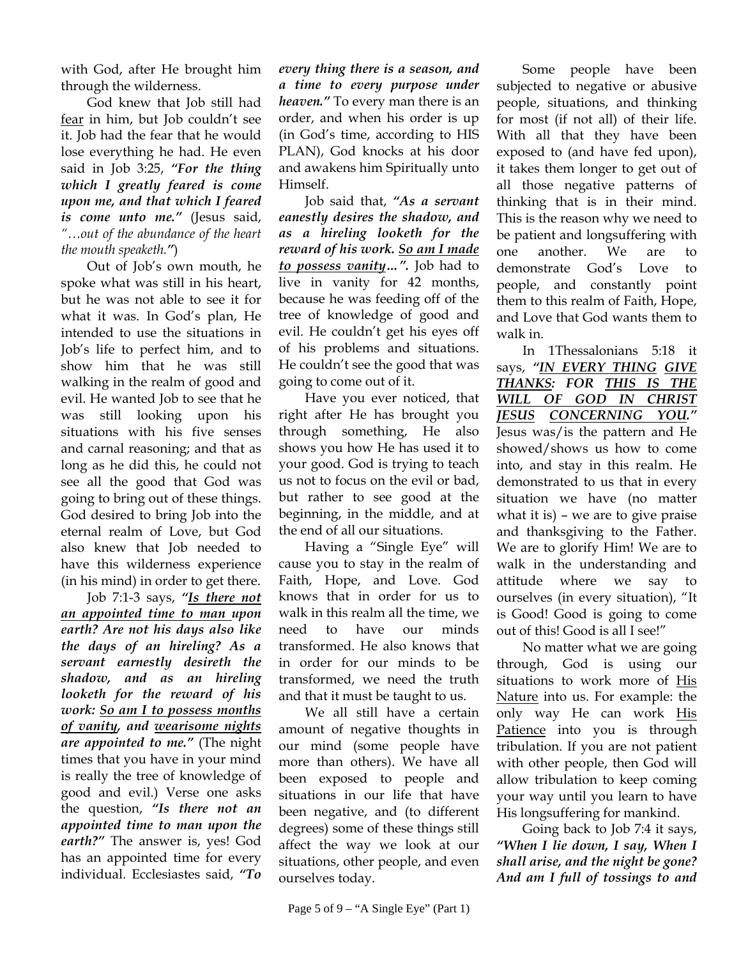with God, after He brought him through the wilderness.

God knew that Job still had fear in him, but Job couldn't see it. Job had the fear that he would lose everything he had. He even said in Job 3:25, *"For the thing which I greatly feared is come upon me, and that which I feared is come unto me."* (Jesus said, *"…out of the abundance of the heart the mouth speaketh."*)

Out of Job's own mouth, he spoke what was still in his heart, but he was not able to see it for what it was. In God's plan, He intended to use the situations in Job's life to perfect him, and to show him that he was still walking in the realm of good and evil. He wanted Job to see that he was still looking upon his situations with his five senses and carnal reasoning; and that as long as he did this, he could not see all the good that God was going to bring out of these things. God desired to bring Job into the eternal realm of Love, but God also knew that Job needed to have this wilderness experience (in his mind) in order to get there.

Job 7:1-3 says, *"Is there not an appointed time to man upon earth? Are not his days also like the days of an hireling? As a servant earnestly desireth the shadow, and as an hireling looketh for the reward of his work: So am I to possess months of vanity, and wearisome nights are appointed to me."* (The night times that you have in your mind is really the tree of knowledge of good and evil.) Verse one asks the question, *"Is there not an appointed time to man upon the earth?"* The answer is, yes! God has an appointed time for every individual. Ecclesiastes said, *"To* 

*every thing there is a season, and a time to every purpose under heaven."* To every man there is an order, and when his order is up (in God's time, according to HIS PLAN), God knocks at his door and awakens him Spiritually unto Himself.

Job said that, *"As a servant eanestly desires the shadow, and as a hireling looketh for the reward of his work. So am I made to possess vanity…".* Job had to live in vanity for 42 months, because he was feeding off of the tree of knowledge of good and evil. He couldn't get his eyes off of his problems and situations. He couldn't see the good that was going to come out of it.

Have you ever noticed, that right after He has brought you through something, He also shows you how He has used it to your good. God is trying to teach us not to focus on the evil or bad, but rather to see good at the beginning, in the middle, and at the end of all our situations.

Having a "Single Eye" will cause you to stay in the realm of Faith, Hope, and Love. God knows that in order for us to walk in this realm all the time, we need to have our minds transformed. He also knows that in order for our minds to be transformed, we need the truth and that it must be taught to us.

We all still have a certain amount of negative thoughts in our mind (some people have more than others). We have all been exposed to people and situations in our life that have been negative, and (to different degrees) some of these things still affect the way we look at our situations, other people, and even ourselves today.

Some people have been subjected to negative or abusive people, situations, and thinking for most (if not all) of their life. With all that they have been exposed to (and have fed upon), it takes them longer to get out of all those negative patterns of thinking that is in their mind. This is the reason why we need to be patient and longsuffering with one another. We are to demonstrate God's Love to people, and constantly point them to this realm of Faith, Hope, and Love that God wants them to walk in.

In 1Thessalonians 5:18 it says, *"IN EVERY THING GIVE THANKS: FOR THIS IS THE WILL OF GOD IN CHRIST JESUS CONCERNING YOU."* Jesus was/is the pattern and He showed/shows us how to come into, and stay in this realm. He demonstrated to us that in every situation we have (no matter what it is) – we are to give praise and thanksgiving to the Father. We are to glorify Him! We are to walk in the understanding and attitude where we say to ourselves (in every situation), "It is Good! Good is going to come out of this! Good is all I see!"

No matter what we are going through, God is using our situations to work more of His Nature into us. For example: the only way He can work His Patience into you is through tribulation. If you are not patient with other people, then God will allow tribulation to keep coming your way until you learn to have His longsuffering for mankind.

Going back to Job 7:4 it says, *"When I lie down, I say, When I shall arise, and the night be gone? And am I full of tossings to and*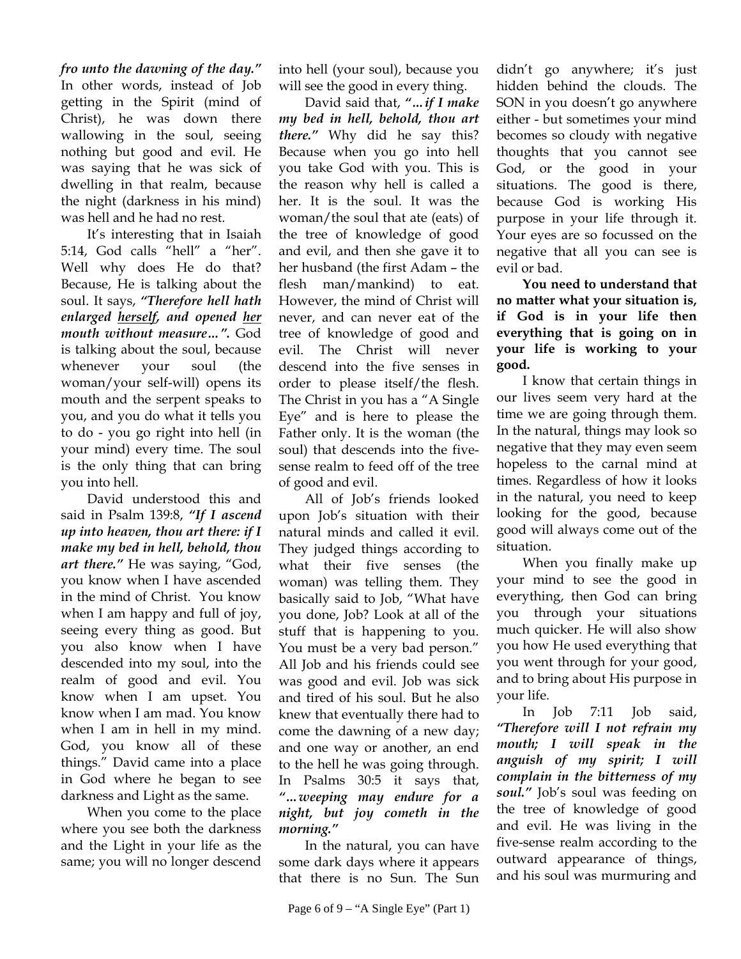*fro unto the dawning of the day."* In other words, instead of Job getting in the Spirit (mind of Christ), he was down there wallowing in the soul, seeing nothing but good and evil. He was saying that he was sick of dwelling in that realm, because the night (darkness in his mind) was hell and he had no rest.

It's interesting that in Isaiah 5:14, God calls "hell" a "her". Well why does He do that? Because, He is talking about the soul. It says, *"Therefore hell hath enlarged herself, and opened her mouth without measure…".* God is talking about the soul, because whenever your soul (the woman/your self-will) opens its mouth and the serpent speaks to you, and you do what it tells you to do - you go right into hell (in your mind) every time. The soul is the only thing that can bring you into hell.

David understood this and said in Psalm 139:8, *"If I ascend up into heaven, thou art there: if I make my bed in hell, behold, thou art there."* He was saying, "God, you know when I have ascended in the mind of Christ. You know when I am happy and full of joy, seeing every thing as good. But you also know when I have descended into my soul, into the realm of good and evil. You know when I am upset. You know when I am mad. You know when I am in hell in my mind. God, you know all of these things." David came into a place in God where he began to see darkness and Light as the same.

When you come to the place where you see both the darkness and the Light in your life as the same; you will no longer descend into hell (your soul), because you will see the good in every thing.

David said that, *"…if I make my bed in hell, behold, thou art there."* Why did he say this? Because when you go into hell you take God with you. This is the reason why hell is called a her. It is the soul. It was the woman/the soul that ate (eats) of the tree of knowledge of good and evil, and then she gave it to her husband (the first Adam – the flesh man/mankind) to eat. However, the mind of Christ will never, and can never eat of the tree of knowledge of good and evil. The Christ will never descend into the five senses in order to please itself/the flesh. The Christ in you has a "A Single Eye" and is here to please the Father only. It is the woman (the soul) that descends into the fivesense realm to feed off of the tree of good and evil.

All of Job's friends looked upon Job's situation with their natural minds and called it evil. They judged things according to what their five senses (the woman) was telling them. They basically said to Job, "What have you done, Job? Look at all of the stuff that is happening to you. You must be a very bad person." All Job and his friends could see was good and evil. Job was sick and tired of his soul. But he also knew that eventually there had to come the dawning of a new day; and one way or another, an end to the hell he was going through. In Psalms 30:5 it says that, *"…weeping may endure for a night, but joy cometh in the morning."*

In the natural, you can have some dark days where it appears that there is no Sun. The Sun

didn't go anywhere; it's just hidden behind the clouds. The SON in you doesn't go anywhere either - but sometimes your mind becomes so cloudy with negative thoughts that you cannot see God, or the good in your situations. The good is there, because God is working His purpose in your life through it. Your eyes are so focussed on the negative that all you can see is evil or bad.

**You need to understand that no matter what your situation is, if God is in your life then everything that is going on in your life is working to your good.** 

I know that certain things in our lives seem very hard at the time we are going through them. In the natural, things may look so negative that they may even seem hopeless to the carnal mind at times. Regardless of how it looks in the natural, you need to keep looking for the good, because good will always come out of the situation.

When you finally make up your mind to see the good in everything, then God can bring you through your situations much quicker. He will also show you how He used everything that you went through for your good, and to bring about His purpose in your life.

In Job 7:11 Job said, *"Therefore will I not refrain my mouth; I will speak in the anguish of my spirit; I will complain in the bitterness of my soul."* Job's soul was feeding on the tree of knowledge of good and evil. He was living in the five-sense realm according to the outward appearance of things, and his soul was murmuring and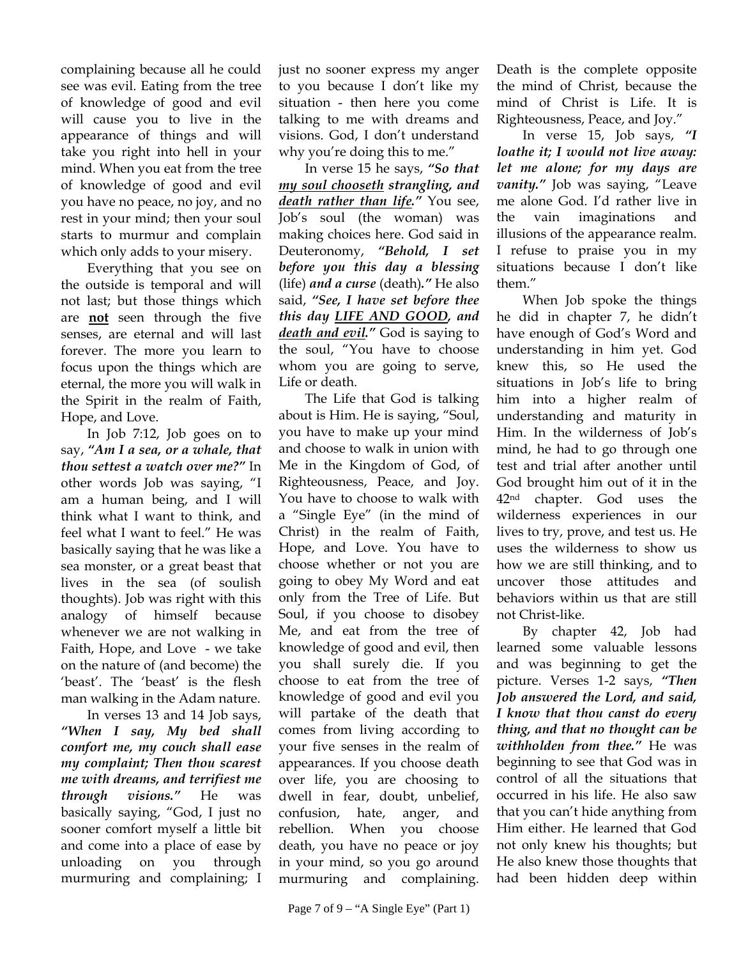complaining because all he could see was evil. Eating from the tree of knowledge of good and evil will cause you to live in the appearance of things and will take you right into hell in your mind. When you eat from the tree of knowledge of good and evil you have no peace, no joy, and no rest in your mind; then your soul starts to murmur and complain which only adds to your misery.

Everything that you see on the outside is temporal and will not last; but those things which are **not** seen through the five senses, are eternal and will last forever. The more you learn to focus upon the things which are eternal, the more you will walk in the Spirit in the realm of Faith, Hope, and Love.

In Job 7:12, Job goes on to say, *"Am I a sea, or a whale, that thou settest a watch over me?"* In other words Job was saying, "I am a human being, and I will think what I want to think, and feel what I want to feel." He was basically saying that he was like a sea monster, or a great beast that lives in the sea (of soulish thoughts). Job was right with this analogy of himself because whenever we are not walking in Faith, Hope, and Love - we take on the nature of (and become) the 'beast'. The 'beast' is the flesh man walking in the Adam nature.

In verses 13 and 14 Job says, *"When I say, My bed shall comfort me, my couch shall ease my complaint; Then thou scarest me with dreams, and terrifiest me through visions."* He was basically saying, "God, I just no sooner comfort myself a little bit and come into a place of ease by unloading on you through murmuring and complaining; I

just no sooner express my anger to you because I don't like my situation - then here you come talking to me with dreams and visions. God, I don't understand why you're doing this to me."

In verse 15 he says, *"So that my soul chooseth strangling, and death rather than life."* You see, Job's soul (the woman) was making choices here. God said in Deuteronomy, *"Behold, I set before you this day a blessing*  (life) *and a curse* (death)*."* He also said, *"See, I have set before thee this day LIFE AND GOOD, and death and evil."* God is saying to the soul, "You have to choose whom you are going to serve, Life or death.

The Life that God is talking about is Him. He is saying, "Soul, you have to make up your mind and choose to walk in union with Me in the Kingdom of God, of Righteousness, Peace, and Joy. You have to choose to walk with a "Single Eye" (in the mind of Christ) in the realm of Faith, Hope, and Love. You have to choose whether or not you are going to obey My Word and eat only from the Tree of Life. But Soul, if you choose to disobey Me, and eat from the tree of knowledge of good and evil, then you shall surely die. If you choose to eat from the tree of knowledge of good and evil you will partake of the death that comes from living according to your five senses in the realm of appearances. If you choose death over life, you are choosing to dwell in fear, doubt, unbelief, confusion, hate, anger, and rebellion. When you choose death, you have no peace or joy in your mind, so you go around murmuring and complaining.

Death is the complete opposite the mind of Christ, because the mind of Christ is Life. It is Righteousness, Peace, and Joy."

In verse 15, Job says, *"I loathe it; I would not live away: let me alone; for my days are vanity."* Job was saying, "Leave me alone God. I'd rather live in the vain imaginations and illusions of the appearance realm. I refuse to praise you in my situations because I don't like them."

When Job spoke the things he did in chapter 7, he didn't have enough of God's Word and understanding in him yet. God knew this, so He used the situations in Job's life to bring him into a higher realm of understanding and maturity in Him. In the wilderness of Job's mind, he had to go through one test and trial after another until God brought him out of it in the 42nd chapter. God uses the wilderness experiences in our lives to try, prove, and test us. He uses the wilderness to show us how we are still thinking, and to uncover those attitudes and behaviors within us that are still not Christ-like.

By chapter 42, Job had learned some valuable lessons and was beginning to get the picture. Verses 1-2 says, *"Then Job answered the Lord, and said, I know that thou canst do every thing, and that no thought can be withholden from thee."* He was beginning to see that God was in control of all the situations that occurred in his life. He also saw that you can't hide anything from Him either. He learned that God not only knew his thoughts; but He also knew those thoughts that had been hidden deep within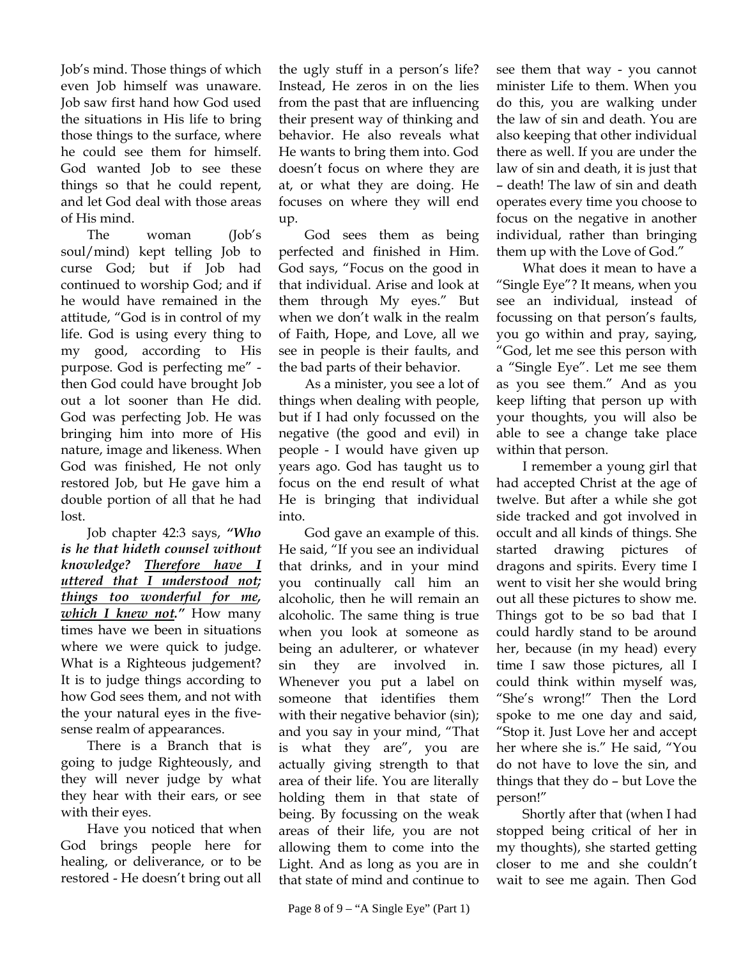Job's mind. Those things of which even Job himself was unaware. Job saw first hand how God used the situations in His life to bring those things to the surface, where he could see them for himself. God wanted Job to see these things so that he could repent, and let God deal with those areas of His mind.

The woman (Job's soul/mind) kept telling Job to curse God; but if Job had continued to worship God; and if he would have remained in the attitude, "God is in control of my life. God is using every thing to my good, according to His purpose. God is perfecting me" then God could have brought Job out a lot sooner than He did. God was perfecting Job. He was bringing him into more of His nature, image and likeness. When God was finished, He not only restored Job, but He gave him a double portion of all that he had lost.

Job chapter 42:3 says, *"Who is he that hideth counsel without knowledge? Therefore have I uttered that I understood not; things too wonderful for me, which I knew not."* How many times have we been in situations where we were quick to judge. What is a Righteous judgement? It is to judge things according to how God sees them, and not with the your natural eyes in the fivesense realm of appearances.

There is a Branch that is going to judge Righteously, and they will never judge by what they hear with their ears, or see with their eyes.

Have you noticed that when God brings people here for healing, or deliverance, or to be restored - He doesn't bring out all

the ugly stuff in a person's life? Instead, He zeros in on the lies from the past that are influencing their present way of thinking and behavior. He also reveals what He wants to bring them into. God doesn't focus on where they are at, or what they are doing. He focuses on where they will end up.

God sees them as being perfected and finished in Him. God says, "Focus on the good in that individual. Arise and look at them through My eyes." But when we don't walk in the realm of Faith, Hope, and Love, all we see in people is their faults, and the bad parts of their behavior.

As a minister, you see a lot of things when dealing with people, but if I had only focussed on the negative (the good and evil) in people - I would have given up years ago. God has taught us to focus on the end result of what He is bringing that individual into.

God gave an example of this. He said, "If you see an individual that drinks, and in your mind you continually call him an alcoholic, then he will remain an alcoholic. The same thing is true when you look at someone as being an adulterer, or whatever sin they are involved in. Whenever you put a label on someone that identifies them with their negative behavior (sin); and you say in your mind, "That is what they are", you are actually giving strength to that area of their life. You are literally holding them in that state of being. By focussing on the weak areas of their life, you are not allowing them to come into the Light. And as long as you are in that state of mind and continue to

Page 8 of 9 – "A Single Eye" (Part 1)

see them that way - you cannot minister Life to them. When you do this, you are walking under the law of sin and death. You are also keeping that other individual there as well. If you are under the law of sin and death, it is just that – death! The law of sin and death operates every time you choose to focus on the negative in another individual, rather than bringing them up with the Love of God."

What does it mean to have a "Single Eye"? It means, when you see an individual, instead of focussing on that person's faults, you go within and pray, saying, "God, let me see this person with a "Single Eye". Let me see them as you see them." And as you keep lifting that person up with your thoughts, you will also be able to see a change take place within that person.

I remember a young girl that had accepted Christ at the age of twelve. But after a while she got side tracked and got involved in occult and all kinds of things. She started drawing pictures of dragons and spirits. Every time I went to visit her she would bring out all these pictures to show me. Things got to be so bad that I could hardly stand to be around her, because (in my head) every time I saw those pictures, all I could think within myself was, "She's wrong!" Then the Lord spoke to me one day and said, "Stop it. Just Love her and accept her where she is." He said, "You do not have to love the sin, and things that they do – but Love the person!"

Shortly after that (when I had stopped being critical of her in my thoughts), she started getting closer to me and she couldn't wait to see me again. Then God